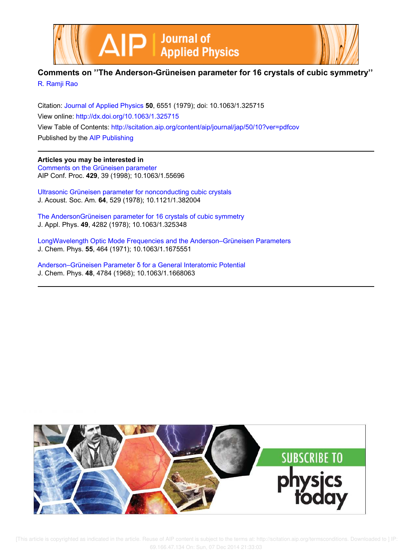



## **Comments on ''The Anderson-Grüneisen parameter for 16 crystals of cubic symmetry''** R. Ramji Rao

Citation: Journal of Applied Physics **50**, 6551 (1979); doi: 10.1063/1.325715 View online: http://dx.doi.org/10.1063/1.325715 View Table of Contents: http://scitation.aip.org/content/aip/journal/jap/50/10?ver=pdfcov Published by the AIP Publishing

**Articles you may be interested in** Comments on the Grüneisen parameter AIP Conf. Proc. **429**, 39 (1998); 10.1063/1.55696

Ultrasonic Grüneisen parameter for nonconducting cubic crystals J. Acoust. Soc. Am. **64**, 529 (1978); 10.1121/1.382004

The AndersonGrüneisen parameter for 16 crystals of cubic symmetry J. Appl. Phys. **49**, 4282 (1978); 10.1063/1.325348

LongWavelength Optic Mode Frequencies and the Anderson–Grüneisen Parameters J. Chem. Phys. **55**, 464 (1971); 10.1063/1.1675551

Anderson–Grüneisen Parameter δ for a General Interatomic Potential J. Chem. Phys. **48**, 4784 (1968); 10.1063/1.1668063